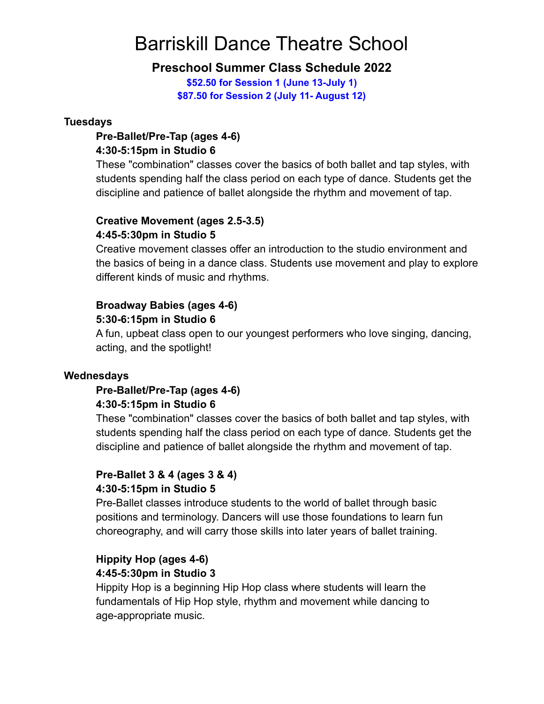# Barriskill Dance Theatre School

## **Preschool Summer Class Schedule 2022**

**\$52.50 for Session 1 (June 13-July 1) \$87.50 for Session 2 (July 11- August 12)**

### **Tuesdays**

## **Pre-Ballet/Pre-Tap (ages 4-6) 4:30-5:15pm in Studio 6**

These "combination" classes cover the basics of both ballet and tap styles, with students spending half the class period on each type of dance. Students get the discipline and patience of ballet alongside the rhythm and movement of tap.

## **Creative Movement (ages 2.5-3.5) 4:45-5:30pm in Studio 5**

Creative movement classes offer an introduction to the studio environment and the basics of being in a dance class. Students use movement and play to explore different kinds of music and rhythms.

## **Broadway Babies (ages 4-6)**

## **5:30-6:15pm in Studio 6**

A fun, upbeat class open to our youngest performers who love singing, dancing, acting, and the spotlight!

## **Wednesdays**

## **Pre-Ballet/Pre-Tap (ages 4-6) 4:30-5:15pm in Studio 6**

These "combination" classes cover the basics of both ballet and tap styles, with students spending half the class period on each type of dance. Students get the discipline and patience of ballet alongside the rhythm and movement of tap.

## **Pre-Ballet 3 & 4 (ages 3 & 4) 4:30-5:15pm in Studio 5**

Pre-Ballet classes introduce students to the world of ballet through basic positions and terminology. Dancers will use those foundations to learn fun choreography, and will carry those skills into later years of ballet training.

### **Hippity Hop (ages 4-6) 4:45-5:30pm in Studio 3**

Hippity Hop is a beginning Hip Hop class where students will learn the fundamentals of Hip Hop style, rhythm and movement while dancing to age-appropriate music.